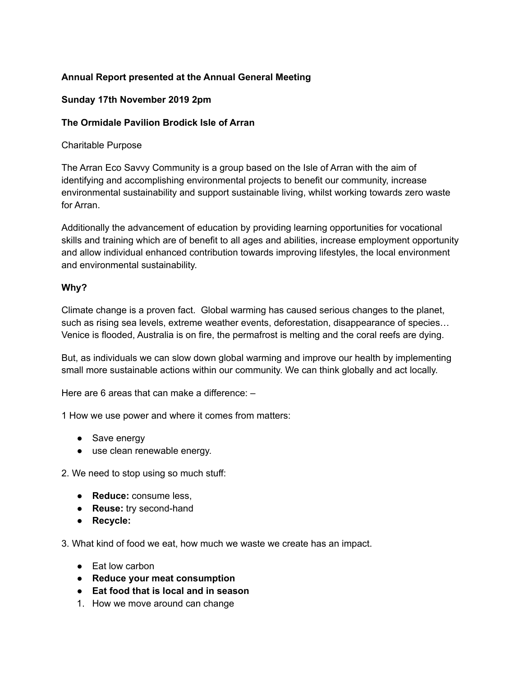#### **Annual Report presented at the Annual General Meeting**

#### **Sunday 17th November 2019 2pm**

#### **The Ormidale Pavilion Brodick Isle of Arran**

#### Charitable Purpose

The Arran Eco Savvy Community is a group based on the Isle of Arran with the aim of identifying and accomplishing environmental projects to benefit our community, increase environmental sustainability and support sustainable living, whilst working towards zero waste for Arran.

Additionally the advancement of education by providing learning opportunities for vocational skills and training which are of benefit to all ages and abilities, increase employment opportunity and allow individual enhanced contribution towards improving lifestyles, the local environment and environmental sustainability.

#### **Why?**

Climate change is a proven fact. Global warming has caused serious changes to the planet, such as rising sea levels, extreme weather events, deforestation, disappearance of species… Venice is flooded, Australia is on fire, the permafrost is melting and the coral reefs are dying.

But, as individuals we can slow down global warming and improve our health by implementing small more sustainable actions within our community. We can think globally and act locally.

Here are 6 areas that can make a difference: –

1 How we use power and where it comes from matters:

- Save energy
- use clean renewable energy.

2. We need to stop using so much stuff:

- **Reduce:** consume less,
- **Reuse:** try second-hand
- **Recycle:**

3. What kind of food we eat, how much we waste we create has an impact.

- Fat low carbon
- **Reduce your meat consumption**
- **Eat food that is local and in season**
- 1. How we move around can change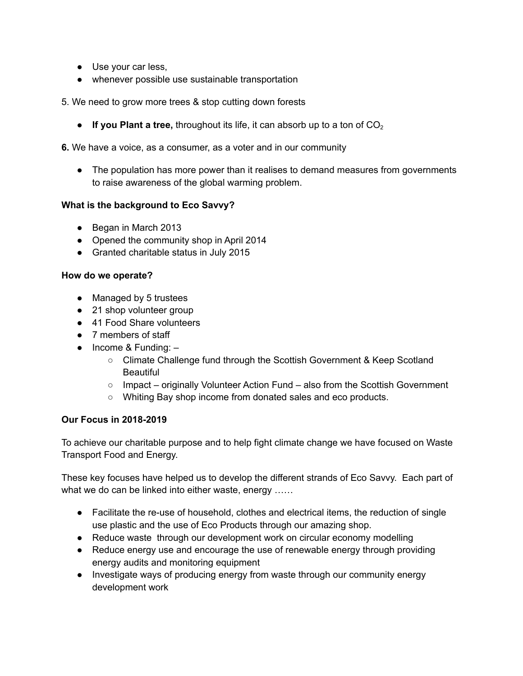- Use your car less,
- whenever possible use sustainable transportation
- 5. We need to grow more trees & stop cutting down forests
	- $\bullet$  **If you Plant a tree,** throughout its life, it can absorb up to a ton of  $CO<sub>2</sub>$
- **6.** We have a voice, as a consumer, as a voter and in our community
	- The population has more power than it realises to demand measures from governments to raise awareness of the global warming problem.

#### **What is the background to Eco Savvy?**

- Began in March 2013
- Opened the community shop in April 2014
- Granted charitable status in July 2015

#### **How do we operate?**

- Managed by 5 trustees
- 21 shop volunteer group
- 41 Food Share volunteers
- 7 members of staff
- $\bullet$  Income & Funding:  $-$ 
	- Climate Challenge fund through the Scottish Government & Keep Scotland Beautiful
	- Impact originally Volunteer Action Fund also from the Scottish Government
	- Whiting Bay shop income from donated sales and eco products.

#### **Our Focus in 2018-2019**

To achieve our charitable purpose and to help fight climate change we have focused on Waste Transport Food and Energy.

These key focuses have helped us to develop the different strands of Eco Savvy. Each part of what we do can be linked into either waste, energy ......

- Facilitate the re-use of household, clothes and electrical items, the reduction of single use plastic and the use of Eco Products through our amazing shop.
- Reduce waste through our development work on circular economy modelling
- Reduce energy use and encourage the use of renewable energy through providing energy audits and monitoring equipment
- Investigate ways of producing energy from waste through our community energy development work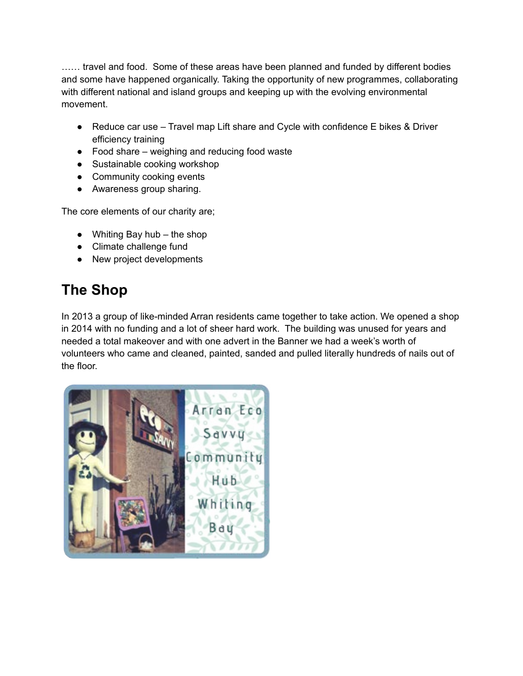…… travel and food. Some of these areas have been planned and funded by different bodies and some have happened organically. Taking the opportunity of new programmes, collaborating with different national and island groups and keeping up with the evolving environmental movement.

- Reduce car use Travel map Lift share and Cycle with confidence E bikes & Driver efficiency training
- Food share weighing and reducing food waste
- Sustainable cooking workshop
- Community cooking events
- Awareness group sharing.

The core elements of our charity are;

- $\bullet$  Whiting Bay hub the shop
- Climate challenge fund
- New project developments

## **The Shop**

In 2013 a group of like-minded Arran residents came together to take action. We opened a shop in 2014 with no funding and a lot of sheer hard work. The building was unused for years and needed a total makeover and with one advert in the Banner we had a week's worth of volunteers who came and cleaned, painted, sanded and pulled literally hundreds of nails out of the floor.

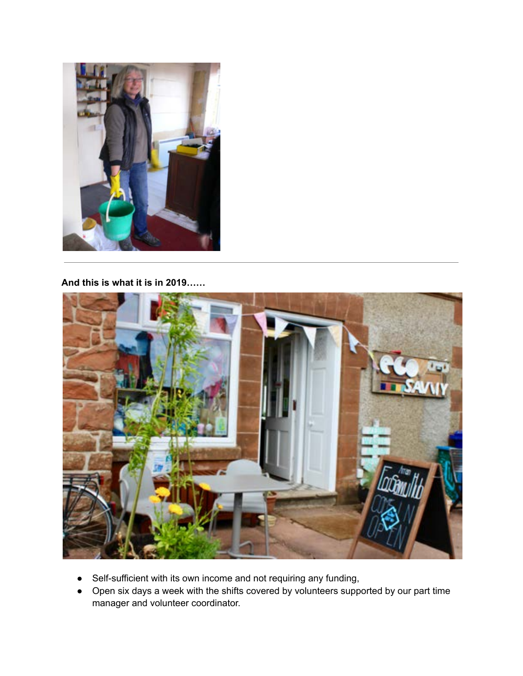

**And this is what it is in 2019……**



- Self-sufficient with its own income and not requiring any funding,
- Open six days a week with the shifts covered by volunteers supported by our part time manager and volunteer coordinator.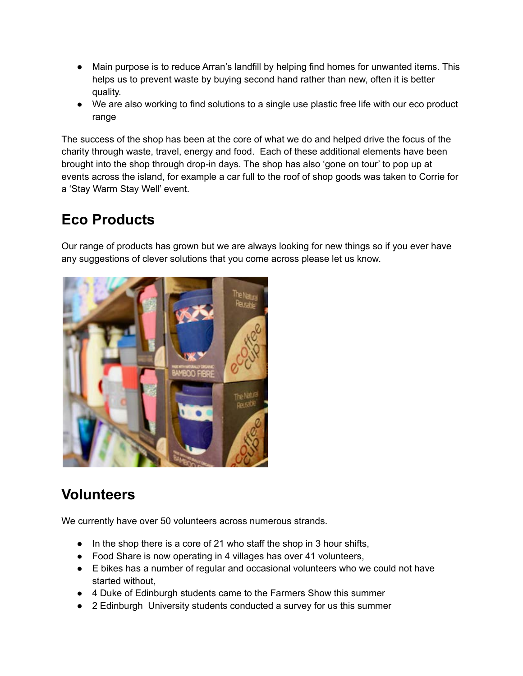- Main purpose is to reduce Arran's landfill by helping find homes for unwanted items. This helps us to prevent waste by buying second hand rather than new, often it is better quality.
- We are also working to find solutions to a single use plastic free life with our eco product range

The success of the shop has been at the core of what we do and helped drive the focus of the charity through waste, travel, energy and food. Each of these additional elements have been brought into the shop through drop-in days. The shop has also 'gone on tour' to pop up at events across the island, for example a car full to the roof of shop goods was taken to Corrie for a 'Stay Warm Stay Well' event.

## **Eco Products**

Our range of products has grown but we are always looking for new things so if you ever have any suggestions of clever solutions that you come across please let us know.



## **Volunteers**

We currently have over 50 volunteers across numerous strands.

- In the shop there is a core of 21 who staff the shop in 3 hour shifts,
- Food Share is now operating in 4 villages has over 41 volunteers,
- E bikes has a number of regular and occasional volunteers who we could not have started without,
- 4 Duke of Edinburgh students came to the Farmers Show this summer
- 2 Edinburgh University students conducted a survey for us this summer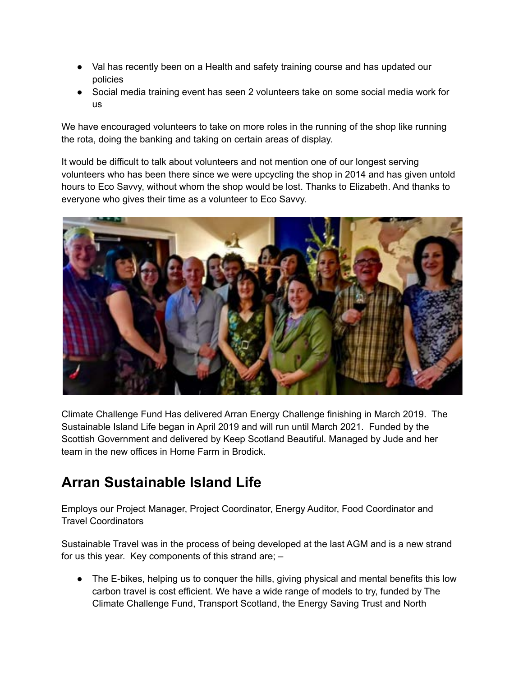- Val has recently been on a Health and safety training course and has updated our policies
- Social media training event has seen 2 volunteers take on some social media work for us

We have encouraged volunteers to take on more roles in the running of the shop like running the rota, doing the banking and taking on certain areas of display.

It would be difficult to talk about volunteers and not mention one of our longest serving volunteers who has been there since we were upcycling the shop in 2014 and has given untold hours to Eco Savvy, without whom the shop would be lost. Thanks to Elizabeth. And thanks to everyone who gives their time as a volunteer to Eco Savvy.



Climate Challenge Fund Has delivered Arran Energy Challenge finishing in March 2019. The Sustainable Island Life began in April 2019 and will run until March 2021. Funded by the Scottish Government and delivered by Keep Scotland Beautiful. Managed by Jude and her team in the new offices in Home Farm in Brodick.

## **Arran Sustainable Island Life**

Employs our Project Manager, Project Coordinator, Energy Auditor, Food Coordinator and Travel Coordinators

Sustainable Travel was in the process of being developed at the last AGM and is a new strand for us this year. Key components of this strand are; –

• The E-bikes, helping us to conquer the hills, giving physical and mental benefits this low carbon travel is cost efficient. We have a wide range of models to try, funded by The Climate Challenge Fund, Transport Scotland, the Energy Saving Trust and North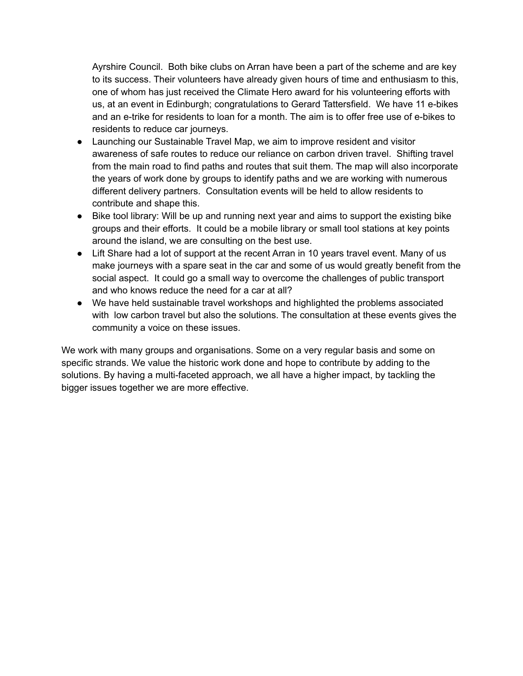Ayrshire Council. Both bike clubs on Arran have been a part of the scheme and are key to its success. Their volunteers have already given hours of time and enthusiasm to this, one of whom has just received the Climate Hero award for his volunteering efforts with us, at an event in Edinburgh; congratulations to Gerard Tattersfield. We have 11 e-bikes and an e-trike for residents to loan for a month. The aim is to offer free use of e-bikes to residents to reduce car journeys.

- Launching our Sustainable Travel Map, we aim to improve resident and visitor awareness of safe routes to reduce our reliance on carbon driven travel. Shifting travel from the main road to find paths and routes that suit them. The map will also incorporate the years of work done by groups to identify paths and we are working with numerous different delivery partners. Consultation events will be held to allow residents to contribute and shape this.
- Bike tool library: Will be up and running next year and aims to support the existing bike groups and their efforts. It could be a mobile library or small tool stations at key points around the island, we are consulting on the best use.
- Lift Share had a lot of support at the recent Arran in 10 years travel event. Many of us make journeys with a spare seat in the car and some of us would greatly benefit from the social aspect. It could go a small way to overcome the challenges of public transport and who knows reduce the need for a car at all?
- We have held sustainable travel workshops and highlighted the problems associated with low carbon travel but also the solutions. The consultation at these events gives the community a voice on these issues.

We work with many groups and organisations. Some on a very regular basis and some on specific strands. We value the historic work done and hope to contribute by adding to the solutions. By having a multi-faceted approach, we all have a higher impact, by tackling the bigger issues together we are more effective.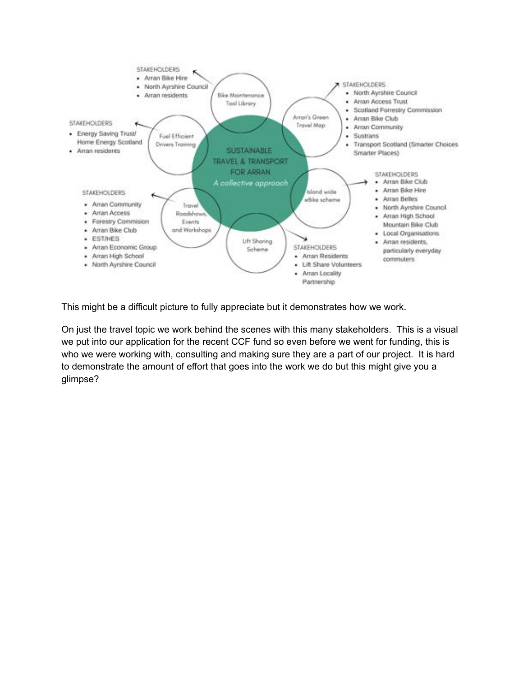

This might be a difficult picture to fully appreciate but it demonstrates how we work.

On just the travel topic we work behind the scenes with this many stakeholders. This is a visual we put into our application for the recent CCF fund so even before we went for funding, this is who we were working with, consulting and making sure they are a part of our project. It is hard to demonstrate the amount of effort that goes into the work we do but this might give you a glimpse?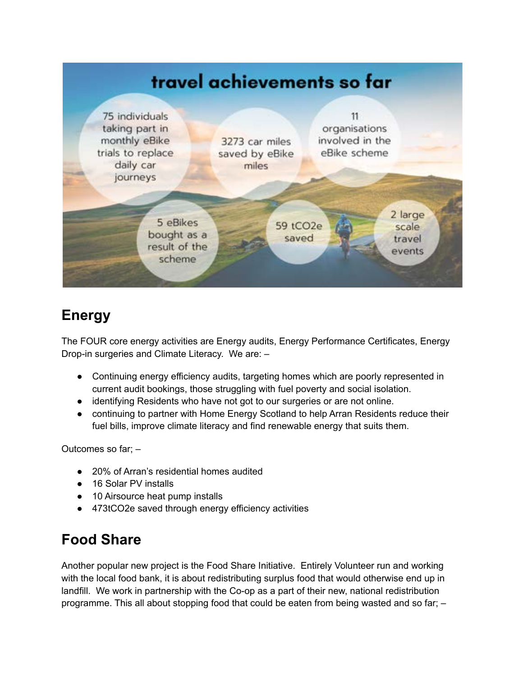

## **Energy**

The FOUR core energy activities are Energy audits, Energy Performance Certificates, Energy Drop-in surgeries and Climate Literacy. We are: –

- Continuing energy efficiency audits, targeting homes which are poorly represented in current audit bookings, those struggling with fuel poverty and social isolation.
- identifying Residents who have not got to our surgeries or are not online.
- continuing to partner with Home Energy Scotland to help Arran Residents reduce their fuel bills, improve climate literacy and find renewable energy that suits them.

Outcomes so far; –

- 20% of Arran's residential homes audited
- 16 Solar PV installs
- 10 Airsource heat pump installs
- 473tCO2e saved through energy efficiency activities

## **Food Share**

Another popular new project is the Food Share Initiative. Entirely Volunteer run and working with the local food bank, it is about redistributing surplus food that would otherwise end up in landfill. We work in partnership with the Co-op as a part of their new, national redistribution programme. This all about stopping food that could be eaten from being wasted and so far; –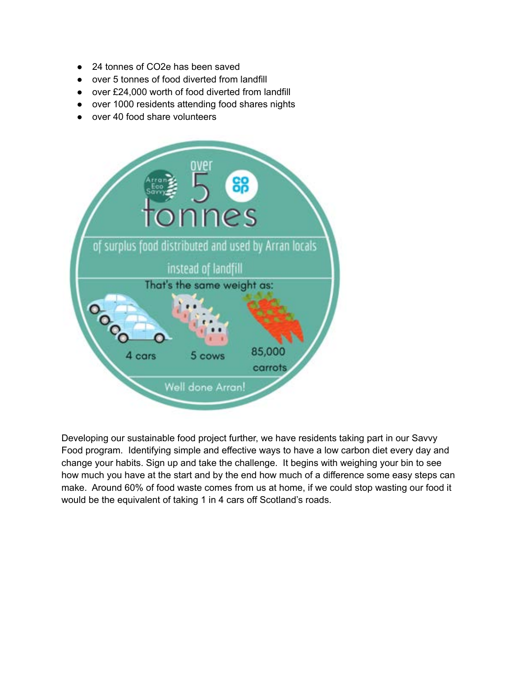- 24 tonnes of CO2e has been saved
- over 5 tonnes of food diverted from landfill
- over £24,000 worth of food diverted from landfill
- over 1000 residents attending food shares nights
- over 40 food share volunteers



Developing our sustainable food project further, we have residents taking part in our Savvy Food program. Identifying simple and effective ways to have a low carbon diet every day and change your habits. Sign up and take the challenge. It begins with weighing your bin to see how much you have at the start and by the end how much of a difference some easy steps can make. Around 60% of food waste comes from us at home, if we could stop wasting our food it would be the equivalent of taking 1 in 4 cars off Scotland's roads.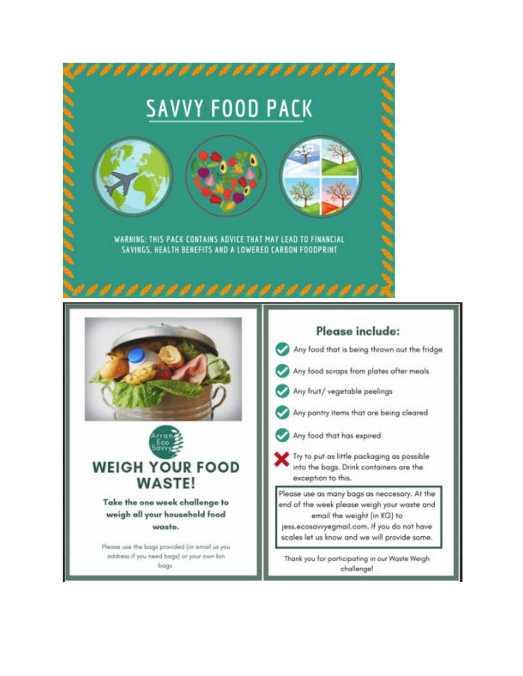| ,,,,,,,,,,,,,,,,,,,,<br><b>SAVVY FOOD PACK</b><br>WARNING: THIS PACK CONTAINS ADVICE THAT MAY LEAD TO FINANCIAL<br>SAVINGS, HEALTH BENEFITS AND A LOWERED CARBON FOODPRINT<br>,,,,,,,,,,,,                                           |                                                                                                                                                                                                                                                                                                                                                                                                                                                                                                                                                                                                                                 |
|--------------------------------------------------------------------------------------------------------------------------------------------------------------------------------------------------------------------------------------|---------------------------------------------------------------------------------------------------------------------------------------------------------------------------------------------------------------------------------------------------------------------------------------------------------------------------------------------------------------------------------------------------------------------------------------------------------------------------------------------------------------------------------------------------------------------------------------------------------------------------------|
| Savvys<br><b>WEIGH YOUR FOOD</b><br><b>WASTE!</b><br>Take the one week challenge to<br>weigh all your household food<br>waste.<br>Please use the bags provided (or email us you<br>address if you need bags) or your own bin<br>bogs | Please include:<br>Any food that is being thrown out the fridge<br>Any food scraps from plates after meals<br>Any fruit/ vegetable peelings<br>Any pantry items that are being cleared<br>Any food that has expired<br>Try to put as little packaging as possible<br>into the bags. Drink containers are the<br>exception to this.<br>Please use as many bags as neccesary. At the<br>end of the week please weigh your waste and<br>email the weight (in KG) to<br>jess.ecosavvyegmail.com. If you do not have<br>scales let us know and we will provide some.<br>Thank you for participating in our Waste Weigh<br>challenge! |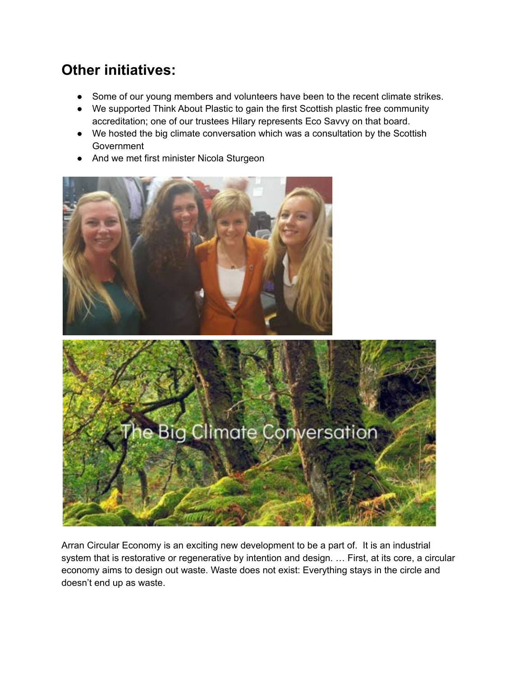## **Other initiatives:**

- Some of our young members and volunteers have been to the recent climate strikes.
- We supported Think About Plastic to gain the first Scottish plastic free community accreditation; one of our trustees Hilary represents Eco Savvy on that board.
- We hosted the big climate conversation which was a consultation by the Scottish Government
- And we met first minister Nicola Sturgeon



Arran Circular Economy is an exciting new development to be a part of. It is an industrial system that is restorative or regenerative by intention and design. ... First, at its core, a circular economy aims to design out waste. Waste does not exist: Everything stays in the circle and doesn't end up as waste.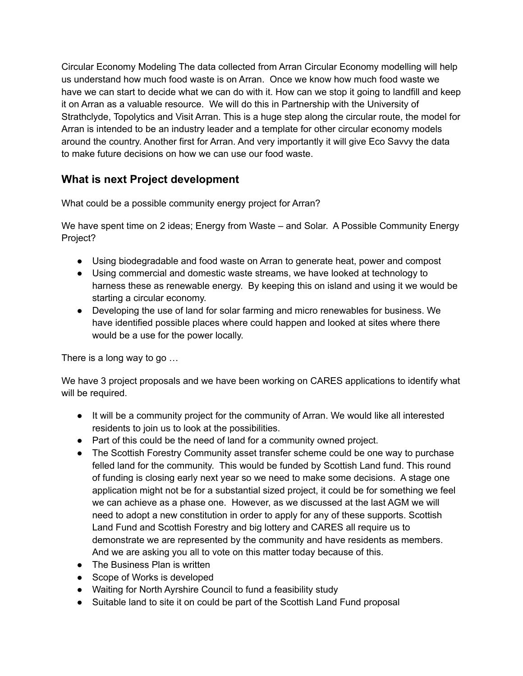Circular Economy Modeling The data collected from Arran Circular Economy modelling will help us understand how much food waste is on Arran. Once we know how much food waste we have we can start to decide what we can do with it. How can we stop it going to landfill and keep it on Arran as a valuable resource. We will do this in Partnership with the University of Strathclyde, Topolytics and Visit Arran. This is a huge step along the circular route, the model for Arran is intended to be an industry leader and a template for other circular economy models around the country. Another first for Arran. And very importantly it will give Eco Savvy the data to make future decisions on how we can use our food waste.

### **What is next Project development**

What could be a possible community energy project for Arran?

We have spent time on 2 ideas; Energy from Waste – and Solar. A Possible Community Energy Project?

- Using biodegradable and food waste on Arran to generate heat, power and compost
- Using commercial and domestic waste streams, we have looked at technology to harness these as renewable energy. By keeping this on island and using it we would be starting a circular economy.
- Developing the use of land for solar farming and micro renewables for business. We have identified possible places where could happen and looked at sites where there would be a use for the power locally.

There is a long way to go …

We have 3 project proposals and we have been working on CARES applications to identify what will be required.

- It will be a community project for the community of Arran. We would like all interested residents to join us to look at the possibilities.
- Part of this could be the need of land for a community owned project.
- The Scottish Forestry Community asset transfer scheme could be one way to purchase felled land for the community. This would be funded by Scottish Land fund. This round of funding is closing early next year so we need to make some decisions. A stage one application might not be for a substantial sized project, it could be for something we feel we can achieve as a phase one. However, as we discussed at the last AGM we will need to adopt a new constitution in order to apply for any of these supports. Scottish Land Fund and Scottish Forestry and big lottery and CARES all require us to demonstrate we are represented by the community and have residents as members. And we are asking you all to vote on this matter today because of this.
- The Business Plan is written
- Scope of Works is developed
- Waiting for North Ayrshire Council to fund a feasibility study
- Suitable land to site it on could be part of the Scottish Land Fund proposal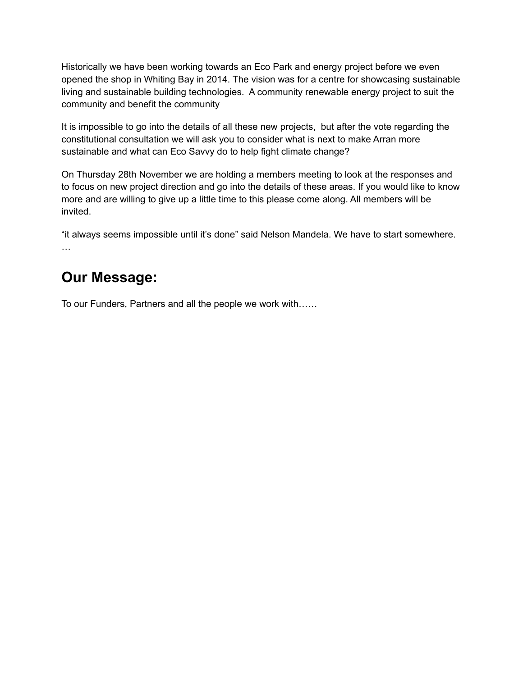Historically we have been working towards an Eco Park and energy project before we even opened the shop in Whiting Bay in 2014. The vision was for a centre for showcasing sustainable living and sustainable building technologies. A community renewable energy project to suit the community and benefit the community

It is impossible to go into the details of all these new projects, but after the vote regarding the constitutional consultation we will ask you to consider what is next to make Arran more sustainable and what can Eco Savvy do to help fight climate change?

On Thursday 28th November we are holding a members meeting to look at the responses and to focus on new project direction and go into the details of these areas. If you would like to know more and are willing to give up a little time to this please come along. All members will be invited.

"it always seems impossible until it's done" said Nelson Mandela. We have to start somewhere. …

## **Our Message:**

To our Funders, Partners and all the people we work with……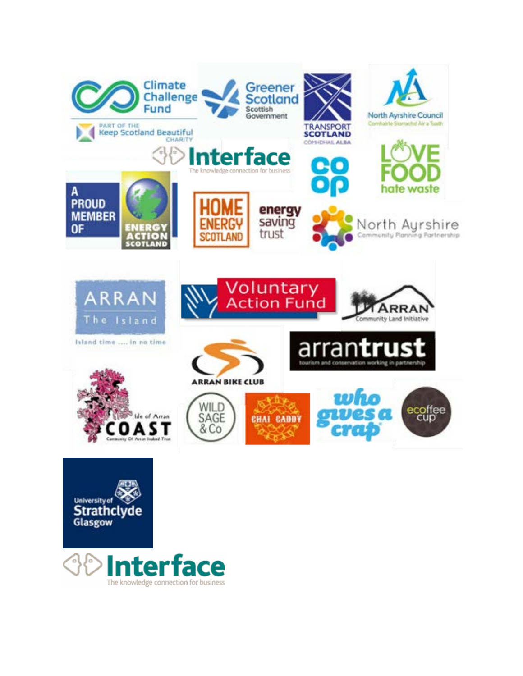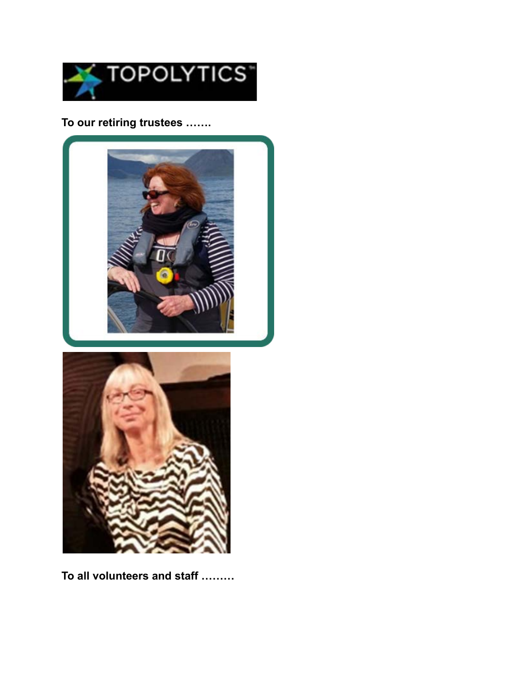

To our retiring trustees .......





To all volunteers and staff .........